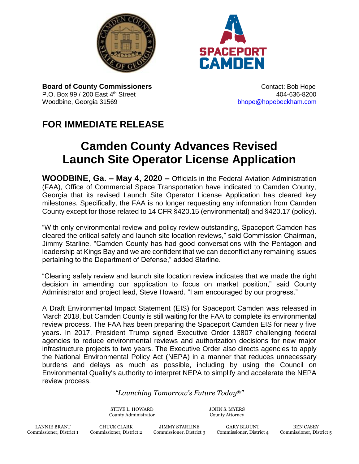



**Board of County Commissioners CONTER 1999** Contact: Bob Hope P.O. Box 99 / 200 East 4<sup>th</sup> Street **404-636-8200** 404-636-8200 Woodbine, Georgia 31569 bhope @hopebeckham.com

## **FOR IMMEDIATE RELEASE**

## **Camden County Advances Revised Launch Site Operator License Application**

**WOODBINE, Ga. – May 4, 2020 –** Officials in the Federal Aviation Administration (FAA), Office of Commercial Space Transportation have indicated to Camden County, Georgia that its revised Launch Site Operator License Application has cleared key milestones. Specifically, the FAA is no longer requesting any information from Camden County except for those related to 14 CFR §420.15 (environmental) and §420.17 (policy).

"With only environmental review and policy review outstanding, Spaceport Camden has cleared the critical safety and launch site location reviews," said Commission Chairman, Jimmy Starline. "Camden County has had good conversations with the Pentagon and leadership at Kings Bay and we are confident that we can deconflict any remaining issues pertaining to the Department of Defense," added Starline.

"Clearing safety review and launch site location review indicates that we made the right decision in amending our application to focus on market position," said County Administrator and project lead, Steve Howard. "I am encouraged by our progress."

A Draft Environmental Impact Statement (EIS) for Spaceport Camden was released in March 2018, but Camden County is still waiting for the FAA to complete its environmental review process. The FAA has been preparing the Spaceport Camden EIS for nearly five years. In 2017, President Trump signed Executive Order 13807 challenging federal agencies to reduce environmental reviews and authorization decisions for new major infrastructure projects to two years. The Executive Order also directs agencies to apply the National Environmental Policy Act (NEPA) in a manner that reduces unnecessary burdens and delays as much as possible, including by using the Council on Environmental Quality's authority to interpret NEPA to simplify and accelerate the NEPA review process.

*"Launching Tomorrow's Future Today*®*"*

STEVE L. HOWARD County Administrator JOHN S. MYERS County Attorney

JIMMY STARLINE Commissioner, District 3

GARY BLOUNT Commissioner, District 4

BEN CASEY Commissioner, District 5